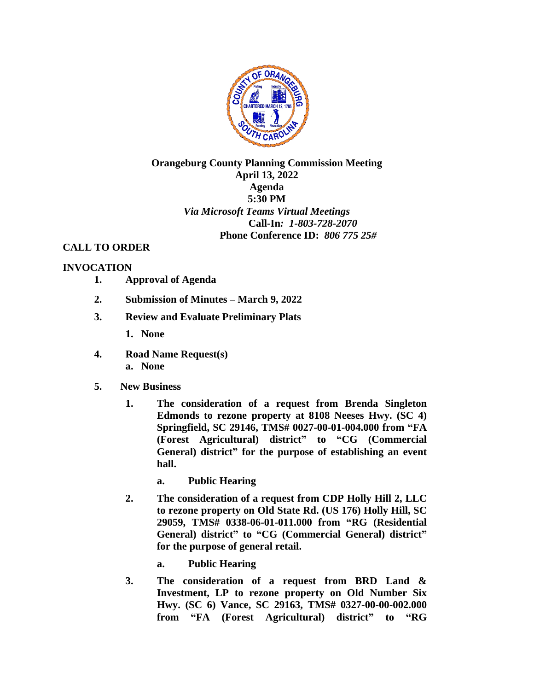

## **Orangeburg County Planning Commission Meeting April 13, 2022 Agenda 5:30 PM** *Via Microsoft Teams Virtual Meetings*  **Call-In***: 1-803-728-2070*  **Phone Conference ID:** *806 775 25#*

## **CALL TO ORDER**

## **INVOCATION**

- **1. Approval of Agenda**
- **2. Submission of Minutes – March 9, 2022**
- **3. Review and Evaluate Preliminary Plats**
	- **1. None**
- **4. Road Name Request(s) a. None**
- **5. New Business**
	- **1. The consideration of a request from Brenda Singleton Edmonds to rezone property at 8108 Neeses Hwy. (SC 4) Springfield, SC 29146, TMS# 0027-00-01-004.000 from "FA (Forest Agricultural) district" to "CG (Commercial General) district" for the purpose of establishing an event hall.**
		- **a. Public Hearing**
	- **2. The consideration of a request from CDP Holly Hill 2, LLC to rezone property on Old State Rd. (US 176) Holly Hill, SC 29059, TMS# 0338-06-01-011.000 from "RG (Residential General) district" to "CG (Commercial General) district" for the purpose of general retail.** 
		- **a. Public Hearing**
	- **3. The consideration of a request from BRD Land & Investment, LP to rezone property on Old Number Six Hwy. (SC 6) Vance, SC 29163, TMS# 0327-00-00-002.000 from "FA (Forest Agricultural) district" to "RG**